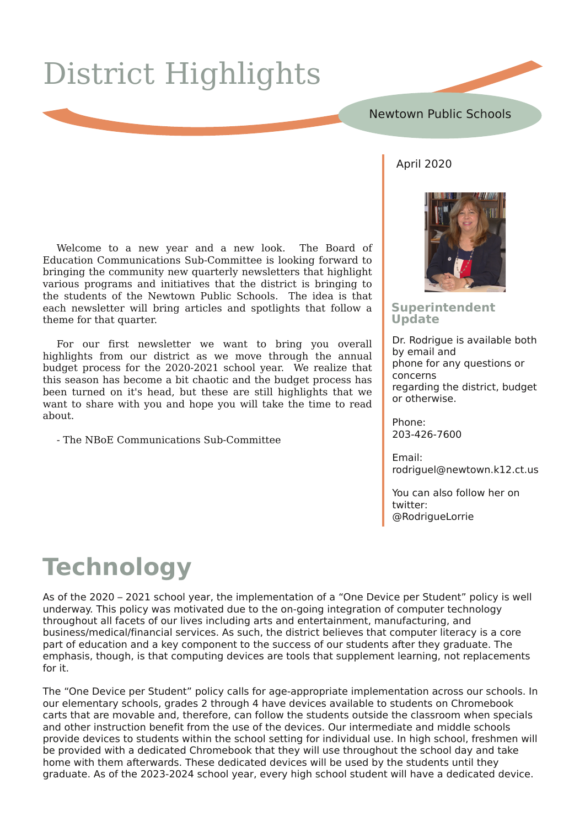# Glvwulf wKlj kdj kw

### Ds ulo5353

Zhofrph wr d qhz | hdu dqg d qhz orrn1 Wkh Erdug ri Hgxfdwrg Frp p xqlfdwrgv VxeCFrp p lwwhh Iv or rnlgj ir uz dug wr eulgilgi wkh frp p x glw ghz t x duwhud ghz v chwwhuv wkdw kljkdjkw ydulrxv surjudp v dqg IqIwdwyhv wkdwwkh glvwulfwlv eulqjIqj wr wkh vwghqw ri wkh Qhzwzg Sxedf Vfkrrov1 Wkh lghd Iv wkdw hdfk ghz vohwwhu z loo eulgi duwlfohv dgg vsrwoljkw wkdwiroorz d wkhohiru wkdwtxduwhu1

Iru rxu iluvw ghz vohwwhu zh zdgw w eulgi Irx ryhudoo kljkdjkwviurp rxu glvwulfwdvzh pryh wkurxjk wkh dqqxdo exgi hwsurf hvv iru wkh 535305354 vf krro | hdu1 Z h uhdd}h wkdw wklv vhdvrg kdv ehfrp h d elwfkdrwf dgg wkh exgj hwsurfhvv kdv ehhq wxuqhq rq lwv khdq/exwwkhvh duh vwloo klikdikw wkdwzh z dawwr ykduh z lwk Irx dag krsh Irx z loo wdnh wkh who h wr uhda derxw1

OWkh QErH Frp p x qlf dwr qv VxeOFrp p lwwhh

#### Vxshulqwhqghqw Xsadwh

Gui Ur auli xh Iv dvdloded er wk el hp dlodaa skrahirudal txhvwravru frafhiny uhj duglqj wkh glvwulf w exgj hw rurwkhuzlvh1

 $Str \, ah =$ 53607590 933

 $H_{D}$  dlo= ur gulj xhoC ghz w z g1n451f w1x v

\rxfdqdovriroorzkhurq w lwhut C Ur guj xhQ wih

## Whikaraj |

Dvriwkh 5353 Ò5354 v fkrro | hdu/wkh Ipsohphqwdwlrg rid ÔRgh Ghylfh shu Vwxghqw Õsrolf| Ivzhoo xqqhuzd|1Wklvsrolf|zdvprwlydwhqqxhwrwkhrqQirlqilqwhjudwhrqrifrpsxwhuwhfkqroril wkurxjkrxwdooidfhwr rirxudyhvlqfoxglqjduwrdqghqwhuwdlqphqwlpdqxidfwxulqj/dqg exvlahvv2p halfdo2lqdafldovhuylfhv1Dv vxfk/wkh alvwulfwehdhyhv wkdwfrp sxwhudwhudf| lvd fruh sduwrihaxfdwra daa d nh| frp srahawwr wkh vxffhvv rirxu vwxahawr diwhu wkh| judaxdwh1Wkh hp skdvlv/wkrxjk/lvwkdwfrpsxwlqjqhylfhvduhwrovwkdwyxssohphqwohduqlqj/qrwuhsodfhphqww irulwl

With ÔRgh Ghylfh shu VwxqhqvÕsrdf| fdoov iru djh0dssursuldvhlpsohphqvdvlrqdfurvvrxu vfkrrov1lq r xu hohp hqwdu| vf kr r ov/ j udghv 5 wkur xj k 7 kdyh ghylf hv dydlodeoh wr vwxghqwr q F kur p her r n fduw wkdwduh prydednidgg/wkhuhiruh/fdgiroorzwkh ywkghgwrrxwylgh wkh fodyyurrpzkhg yshfldov dgg rwkhulgywuxfwlrg ehghilwiurp wkh xyh riwkh ghylfhy1Rxulgwhup hgldwh dgg plggdn yfkrrov surylgh ghylf hvwr vwxghqwr z lwklq wkh vfkrrovhwwlqjirulqglylgxdoxvh1Lq kljk vfkrrofiuhvkphq zloo eh suryighg ziwk d ghgifdwhg Fkurp herrn wkdwwkh ziooxyh wkurxj krxwwkh vfkrrogd dqg wdnh krphzlwk wkhp diwhuz dugv1Wkhvh ghglfdwhg ghylfhvzlooeh xvhge| wkh vwxghqwv xqwlowkh| judgxdwh1Dv riwkh 535605357 vfkrrol hdu/hyhul kljk vfkrrovwxghgwzlookdyhd ghglfdwhg ghylfh1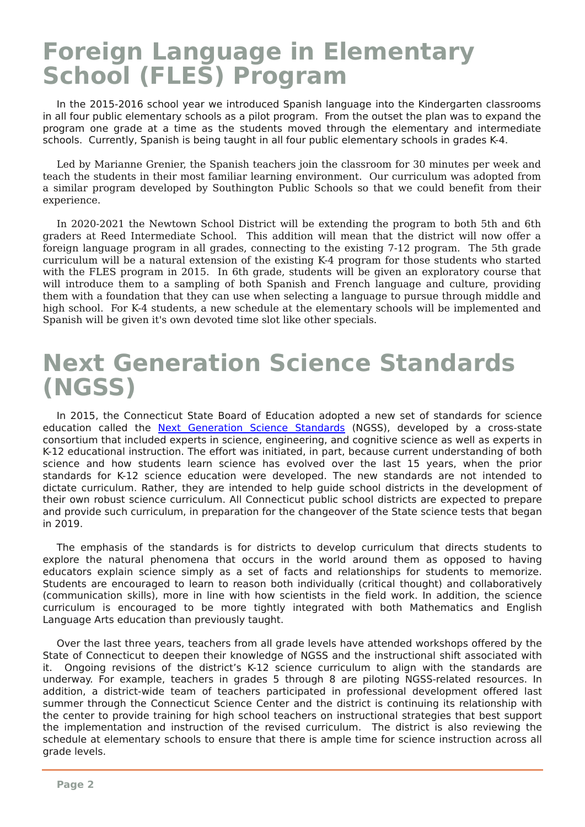## I r uhlj q Odqj x dj h lq Hohp hq wdul Vf k r r o +I OHV, Sur j udp

Lq wkh 534805349 vf k r r o| hdu z h lqwur gx f hg Vsdqlvk odqj xdj h lqwr wkh Nlqghuj duwhq f odvvur r p v lq dooir xus xeolf hohp hqwdu| vf k r r ov dv d s lor wsur j udp 1 I ur p wkh r xwvhwwkh sodq z dv wr h{ sdqg wkh sur judp r qh judgh dw d whp h dv wkh vwxghqww p r yhg wkur x j k wkh hohp hqwdu| dqg lqwhup hgldwh vf krrov1 Fxuuhqvo| / Vsdqlvk lv ehlqj wdxj kwlq dooir xus xeolf hohp hqwdu| vf krrov lq j udghv N071

Ohg e| P duldqqh J uhqlhu' wkh Vsdqlvk whdf khuv mlq wkh f odvvur r p ir u 63 p lqxwhv shu z hhn dqg whdf k wkh vwxghqwv lq wkhlu p r vwidp loldu ohduqlqj hqylur qp hqw1 Rxu f xuulf xoxp z dv dgr swhg iur p d vlp lodu surjudp ghyhorshg e| Vrxwklqj wr q Sxedf Vfkrrov vr wkdw z h frxog ehqhilw iurp wkhlu h{ shulhqf h1

Lq 535305354 wkh Qhz wr z q Vf k r r o Glvwulf wz looeh h{ whqglqj wkh sur j udp wr er wk 8wk dqg 9wk judghuv dw Uhhg Lqwhup hgldwh Vf k r r o1 Wk lv dgglwlr q z loo p hdq wkdw wkh glvwulf w z loo qr z riihu d ir uhljq odqjxdjh sur judp lq doo judghv/frqqhfwlqj wr wkh h{lvwlqj : 045 sur judp 1 Wkh 8wk judgh f xuulf xoxp z looeh d qdwxudoh{ whqvlr q r i wkh h{ lvwlqj N07 sur j udp ir u wk r vh vwxghqwv z k r vwduwhg z lwk wkh I OHV sur j udp lq 53481 Lq 9wk j udgh/ vwxghqwv z looeh j lyhq dq h{ sor udwr u| f r xuvh wkdw z loo lqwur gx f h wkhp wr d vdp sdqj ri er wk Vsdqlvk dqg I uhqf k odqjxdjh dqg f xowxuh/sur ylglqj wkhp z lwk d ir xqgdwlr q wkdwwkh| f dq x vh z khq vhohf wlqj d odqj xdj h wr s xuvxh wkur x j k p lggoh dqg k lj k vf k r r o1 I r u NO7 vwxghqwv/d ghz vf khgxoh dwwkh hohp hqwdul vf k r r ov z looeh lp sohp hqwhg dqg Vsdqlvk z looeh j lyhq lw'v r z q ghyr whq wlp h vor wolnh r wkhu vshf ldov1

### Qh{ wJ hq hudwlr q Vf lhq f h Vwdq g dug v +QJ VV,

Lq 5348/ wkh Fr qqhf wlf xwVwdwh Er dug r i Hgx f dwlr q dgr swhg d qhz vhwr i vwdqgdugv ir u vf lhqf h hgx f dwlr q f doohg wkh Qh{ w J hqhudwlr q Vf lhqf h [Vwdqgdugv](https://www.nextgenscience.org/) +QJ VV,/ ghyhor shg e| d f ur vv0vwdwh fr qvr uwlxp wkdwlqf oxghg h{ shuwv lq vf lhqf h/ hqj lqhhulqj / dqg frj qlwlyh vf lhqf h dv z hoodv h{ shuwv lq N045 hgx f dwlr qdolqvwux f wlr q1Wkh hi ir uwz dv lqlwldwhg/ lq sduw/ ehf dx vh f xuuhqwxqghuvwdqglqj r i er wk vflhqfh dqg krz vwxghqwv ohduq vflhqfh kdv hyroyhg ryhu wkh odvw 48 | hduv/ z khq wkh sulru vwdqgdugv ir u N045 vflhqfh hgxfdwlrq z huh ghyhor shg1 Wkh qhz vwdqgdugv duh qrw lqwhqghg wr glf wdwh f xuulf xoxp 1 Udwkhu/ wkh| duh lqwhqghg wr khos j x lgh vf k r r oglvwulf wv lq wkh ghyhor sp hqwr i wkhlu rzq ur ex vw vflhqfh f xuulf xoxp 1 Doo Frqqhf whf xws xedf vfk rroglv wulf wy duh h{shf whg wy suhsduh dqg sur ylgh vxfk fxuulf xoxp / lq suhsdudwlr q ir u wkh fkdqj hr yhu ri wkh Vwdwh vflhqfh whvww wkdwehj dq  $\log 534 < 1$ 

With hp skdvlv ri wkh vwdqgdugv lv iru glvwulf wv wr ghyhors fxuulfxoxp wkdw gluhf wv vwxghqwv wr h{soruh wkh qdwxudo skhqrp hqd wkdw rffxuv lq wkh z ruog durxqq wkhp dv rssrvhg wr kdylqi hgxfdwr uv h{sodlq vflhqfh vlp so| dv d vhw ri idfwv dqg uhodwlr qvklsv ir u vwxghqwv wr p hp r ul}h1 Vwxghqwv duh hqf r xudj hg wr ohduq wr uhdvr q er wk lqglylgxdoo| +f ulwlf do wk r x j kw, dqg f r ooder udwlyho| +f r p p xqlf dwlr q vnloov,/ p r uh lq olqh z lwk k r z vf lhqwlvwv lq wkh i lhog z r un1 Lq dgglwlr q/ wkh vf lhqf h f xuulf xoxp lv hqfr xudj hg wr eh p r uh wlj kwo| lqwhj udwhg z lwk er wk P dwkhp dwlf v dqg Hqj olvk Odqj xdj h Duwy hgxfdwlr q wkdq suhylr xvo| wdxj kw1

Ryhu wkh odvwwkuhh | hduv/ whdf khuv iur p doo judgh ohyhov kdyh dwwhqghg z runvkr sv riihuhg e| wkh Vwdwh ri Fr qqhf wlf xwwr ghhshq wkhlu nqr z dhgj h ri QJ VV dqg wkh lqvwux f wlr qdovk liwdvvr f ldwhg z lwk lw1 Rqj r lqj uhylvlr qv r i wkh glvwulf www. N045 vflhqfh fxuulf xoxp wr doljq z lwk wkh vwdqgdugv duh xqghuz d|1 I r u h{ dp soh/ whdf khuv lq judghv 8 wkur x j k ; duh s lor wlqj QJ VV0uhodwhg uhvr x uf hv1 Lq dgglwlr g/d glvwulf w0z lgh whdp ri whdf khuv sduwlf lsdwhg lg surihvvlr gdo ghyhor sphqw riihuhg odvw vxp p hu wkur x j k wkh Fr qqhf wlf xwVf lhqf h Fhqwhu dqg wkh glvwulf wlv fr qwlqxlqj lwv uhodwlr qvkls z lwk wkh f hqwhu wr sur ylgh wudlqlqj ir u k lj k vf k r r owhdf khuv r q lqvwux f wlr qdovwudwhj lhv wkdwehvwvx s s r uw wkh lp sohp hqwdwlr q dqg lqvwux f wlr q r i wkh uhylvhg f xuulf xoxp 1 Wkh glvwulf w lv dovr uhylhz lqj wkh vf khgxoh dwhohp hqwdu| vf k r r ov wr hqvxuh wkdwwkhuh lv dp soh whp h ir u vf lhqf h lqvwux f whr q df ur vv doo j udgh dyhov1